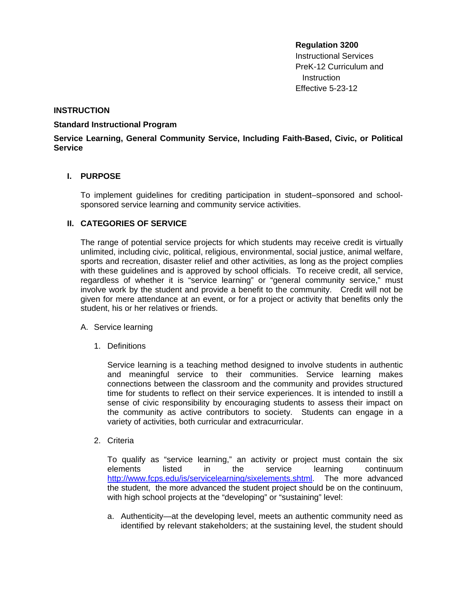# **Regulation 3200**  Instructional Services PreK-12 Curriculum and

**Instruction** Effective 5-23-12

## **INSTRUCTION**

#### **Standard Instructional Program**

# **Service Learning, General Community Service, Including Faith-Based, Civic, or Political Service**

# **I. PURPOSE**

To implement guidelines for crediting participation in student–sponsored and schoolsponsored service learning and community service activities.

## **II. CATEGORIES OF SERVICE**

The range of potential service projects for which students may receive credit is virtually unlimited, including civic, political, religious, environmental, social justice, animal welfare, sports and recreation, disaster relief and other activities, as long as the project complies with these guidelines and is approved by school officials. To receive credit, all service, regardless of whether it is "service learning" or "general community service," must involve work by the student and provide a benefit to the community. Credit will not be given for mere attendance at an event, or for a project or activity that benefits only the student, his or her relatives or friends.

#### A. Service learning

1. Definitions

Service learning is a teaching method designed to involve students in authentic and meaningful service to their communities. Service learning makes connections between the classroom and the community and provides structured time for students to reflect on their service experiences. It is intended to instill a sense of civic responsibility by encouraging students to assess their impact on the community as active contributors to society. Students can engage in a variety of activities, both curricular and extracurricular.

2. Criteria

To qualify as "service learning," an activity or project must contain the six elements listed in the service learning continuum [http://www.fcps.edu/is/servicelearning/sixelements.shtml.](http://www.fcps.edu/is/servicelearning/sixelements.shtml) The more advanced the student, the more advanced the student project should be on the continuum, with high school projects at the "developing" or "sustaining" level:

a. Authenticity—at the developing level, meets an authentic community need as identified by relevant stakeholders; at the sustaining level, the student should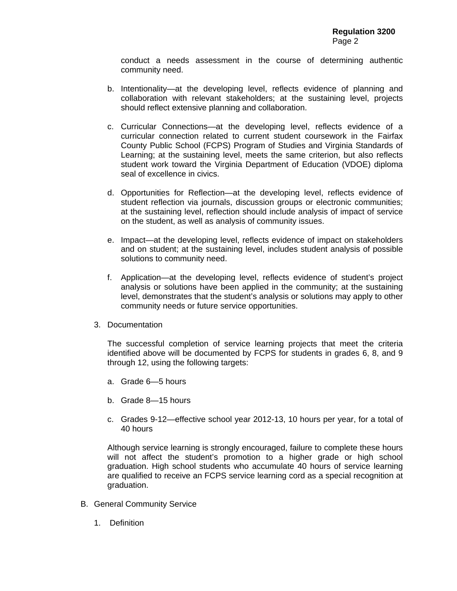conduct a needs assessment in the course of determining authentic community need.

- b. Intentionality—at the developing level, reflects evidence of planning and collaboration with relevant stakeholders; at the sustaining level, projects should reflect extensive planning and collaboration.
- c. Curricular Connections—at the developing level, reflects evidence of a curricular connection related to current student coursework in the Fairfax County Public School (FCPS) Program of Studies and Virginia Standards of Learning; at the sustaining level, meets the same criterion, but also reflects student work toward the Virginia Department of Education (VDOE) diploma seal of excellence in civics.
- d. Opportunities for Reflection—at the developing level, reflects evidence of student reflection via journals, discussion groups or electronic communities; at the sustaining level, reflection should include analysis of impact of service on the student, as well as analysis of community issues.
- e. Impact—at the developing level, reflects evidence of impact on stakeholders and on student; at the sustaining level, includes student analysis of possible solutions to community need.
- f. Application—at the developing level, reflects evidence of student's project analysis or solutions have been applied in the community; at the sustaining level, demonstrates that the student's analysis or solutions may apply to other community needs or future service opportunities.
- 3. Documentation

The successful completion of service learning projects that meet the criteria identified above will be documented by FCPS for students in grades 6, 8, and 9 through 12, using the following targets:

- a. Grade 6—5 hours
- b. Grade 8—15 hours
- c. Grades 9-12—effective school year 2012-13, 10 hours per year, for a total of 40 hours

Although service learning is strongly encouraged, failure to complete these hours will not affect the student's promotion to a higher grade or high school graduation. High school students who accumulate 40 hours of service learning are qualified to receive an FCPS service learning cord as a special recognition at graduation.

- B. General Community Service
	- 1. Definition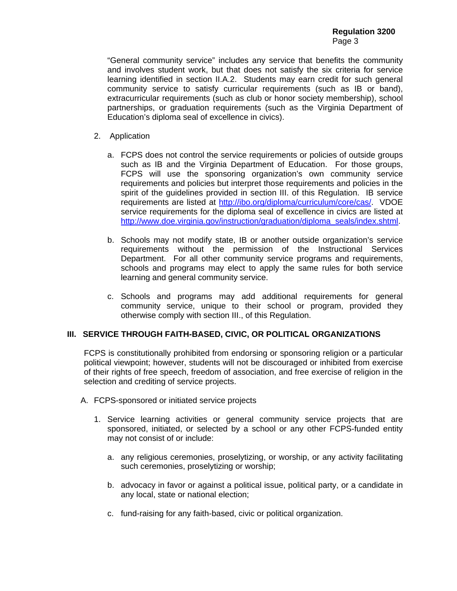**Regulation 3200 Page 3** 

> "General community service" includes any service that benefits the community and involves student work, but that does not satisfy the six criteria for service learning identified in section II.A.2. Students may earn credit for such general community service to satisfy curricular requirements (such as IB or band), extracurricular requirements (such as club or honor society membership), school partnerships, or graduation requirements (such as the Virginia Department of Education's diploma seal of excellence in civics).

- 2. Application
	- a. FCPS does not control the service requirements or policies of outside groups such as IB and the Virginia Department of Education. For those groups, FCPS will use the sponsoring organization's own community service requirements and policies but interpret those requirements and policies in the spirit of the guidelines provided in section III. of this Regulation. IB service requirements are listed at [http://ibo.org/diploma/curriculum/core/cas/. V](http://ibo.org/diploma/curriculum/core/cas/)DOE service requirements for the diploma seal of excellence in civics are listed at [http://www.doe.virginia.gov/instruction/graduation/diploma\\_seals/index.shtml.](http://www.doe.virginia.gov/instruction/graduation/diploma_seals/index.shtml)
	- b. Schools may not modify state, IB or another outside organization's service requirements without the permission of the Instructional Services Department. For all other community service programs and requirements, schools and programs may elect to apply the same rules for both service learning and general community service.
	- c. Schools and programs may add additional requirements for general community service, unique to their school or program, provided they otherwise comply with section III., of this Regulation.

#### **III. SERVICE THROUGH FAITH-BASED, CIVIC, OR POLITICAL ORGANIZATIONS**

FCPS is constitutionally prohibited from endorsing or sponsoring religion or a particular political viewpoint; however, students will not be discouraged or inhibited from exercise of their rights of free speech, freedom of association, and free exercise of religion in the selection and crediting of service projects.

- A. FCPS-sponsored or initiated service projects
	- 1. Service learning activities or general community service projects that are sponsored, initiated, or selected by a school or any other FCPS-funded entity may not consist of or include:
		- a. any religious ceremonies, proselytizing, or worship, or any activity facilitating such ceremonies, proselytizing or worship;
		- b. advocacy in favor or against a political issue, political party, or a candidate in any local, state or national election;
		- c. fund-raising for any faith-based, civic or political organization.